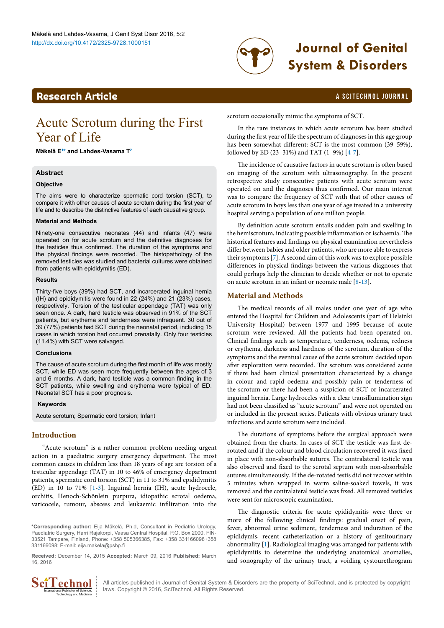

# http://dx.doi.org/10.4172/2325-9728.1000151 **Journal of Genital System & Disorders**

### **Research Article a Scittering Control in the Scittering Control in the Scittering Article in the Scittering Control in the Scittering Control in the Scittering Control in the Scittering Control in the Scittering Control**

## Acute Scrotum during the First Year of Life

**Mäkelä [E1](#page-3-0) [\\*](#page-0-0) and Lahdes-Vasama [T2](#page-3-1)**

### **Abstract**

#### **Objective**

The aims were to characterize spermatic cord torsion (SCT), to compare it with other causes of acute scrotum during the first year of life and to describe the distinctive features of each causative group.

#### **Material and Methods**

Ninety-one consecutive neonates (44) and infants (47) were operated on for acute scrotum and the definitive diagnoses for the testicles thus confirmed. The duration of the symptoms and the physical findings were recorded. The histopathology of the removed testicles was studied and bacterial cultures were obtained from patients with epididymitis (ED).

#### **Results**

Thirty-five boys (39%) had SCT, and incarcerated inguinal hernia (IH) and epididymitis were found in 22 (24%) and 21 (23%) cases, respectively. Torsion of the testicular appendage (TAT) was only seen once. A dark, hard testicle was observed in 91% of the SCT patients, but erythema and tenderness were infrequent. 30 out of 39 (77%) patients had SCT during the neonatal period, including 15 cases in which torsion had occurred prenatally. Only four testicles (11.4%) with SCT were salvaged.

#### **Conclusions**

The cause of acute scrotum during the first month of life was mostly SCT, while ED was seen more frequently between the ages of 3 and 6 months. A dark, hard testicle was a common finding in the SCT patients, while swelling and erythema were typical of ED. Neonatal SCT has a poor prognosis.

#### **Keywords**

Acute scrotum; Spermatic cord torsion; Infant

### **Introduction**

"Acute scrotum" is a rather common problem needing urgent action in a paediatric surgery emergency department. The most common causes in children less than 18 years of age are torsion of a testicular appendage (TAT) in 10 to 46% of emergency department patients, spermatic cord torsion (SCT) in 11 to 31% and epididymitis (ED) in 10 to 71% [[1](#page-3-2)[-3\]](#page-3-3). Inguinal hernia (IH), acute hydrocele, orchitis, Henoch-Schönlein purpura, idiopathic scrotal oedema, varicocele, tumour, abscess and leukaemic infiltration into the

**Received:** December 14, 2015 **Accepted:** March 09, 2016 **Published:** March 16, 2016



All articles published in Journal of Genital System & Disorders are the property of SciTechnol, and is protected by copyright **CCOMOL** All articles published in Journal of Genital System & Discordiant Publisher of Science, laws. Copyright © 2016, SciTechnol, All Rights Reserved.

scrotum occasionally mimic the symptoms of SCT.

In the rare instances in which acute scrotum has been studied during the first year of life the spectrum of diagnoses in this age group has been somewhat different: SCT is the most common (39–59%), followed by ED (23–31%) and TAT (1–9%) [[4](#page-3-4)-[7\]](#page-3-5).

The incidence of causative factors in acute scrotum is often based on imaging of the scrotum with ultrasonography. In the present retrospective study consecutive patients with acute scrotum were operated on and the diagnoses thus confirmed. Our main interest was to compare the frequency of SCT with that of other causes of acute scrotum in boys less than one year of age treated in a university hospital serving a population of one million people.

By definition acute scrotum entails sudden pain and swelling in the hemiscrotum, indicating possible inflammation or ischaemia. The historical features and findings on physical examination nevertheless differ between babies and older patients, who are more able to express their symptoms [[7](#page-3-5)]. A second aim of this work was to explore possible differences in physical findings between the various diagnoses that could perhaps help the clinician to decide whether or not to operate on acute scrotum in an infant or neonate male [[8](#page-3-6)[-13\]](#page-3-7).

#### **Material and Methods**

The medical records of all males under one year of age who entered the Hospital for Children and Adolescents (part of Helsinki University Hospital) between 1977 and 1995 because of acute scrotum were reviewed. All the patients had been operated on. Clinical findings such as temperature, tenderness, oedema, redness or erythema, darkness and hardness of the scrotum, duration of the symptoms and the eventual cause of the acute scrotum decided upon after exploration were recorded. The scrotum was considered acute if there had been clinical presentation characterized by a change in colour and rapid oedema and possibly pain or tenderness of the scrotum or there had been a suspicion of SCT or incarcerated inguinal hernia. Large hydroceles with a clear transillumination sign had not been classified as "acute scrotum" and were not operated on or included in the present series. Patients with obvious urinary tract infections and acute scrotum were included.

The durations of symptoms before the surgical approach were obtained from the charts. In cases of SCT the testicle was first derotated and if the colour and blood circulation recovered it was fixed in place with non-absorbable sutures. The contralateral testicle was also observed and fixed to the scrotal septum with non-absorbable sutures simultaneously. If the de-rotated testis did not recover within 5 minutes when wrapped in warm saline-soaked towels, it was removed and the contralateral testicle was fixed. All removed testicles were sent for microscopic examination.

The diagnostic criteria for acute epididymitis were three or more of the following clinical findings: gradual onset of pain, fever, abnormal urine sediment, tenderness and induration of the epididymis, recent catheterization or a history of genitourinary abnormality [\[1](#page-3-2)]. Radiological imaging was arranged for patients with epididymitis to determine the underlying anatomical anomalies, and sonography of the urinary tract, a voiding cystourethrogram

<span id="page-0-0"></span>**<sup>\*</sup>Corresponding author:** Eija Mäkelä, Ph.d, Consultant in Pediatric Urology, Paediatric Surgery, Harri Rajakorpi, Vaasa Central Hospital, P.O. Box 2000, FIN-33521 Tampere, Finland, Phone: +358 505366385, Fax: +358 331166098+358 331166098; E-mail: eija.makela@pshp.fi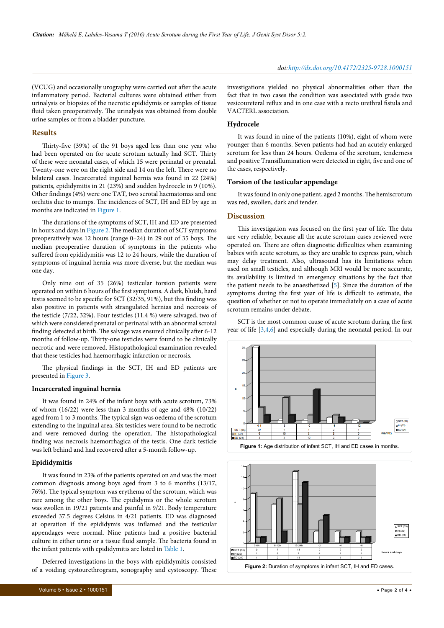(VCUG) and occasionally urography were carried out after the acute inflammatory period. Bacterial cultures were obtained either from urinalysis or biopsies of the necrotic epididymis or samples of tissue fluid taken preoperatively. The urinalysis was obtained from double urine samples or from a bladder puncture.

#### **Results**

Thirty-five (39%) of the 91 boys aged less than one year who had been operated on for acute scrotum actually had SCT. Thirty of these were neonatal cases, of which 15 were perinatal or prenatal. Twenty-one were on the right side and 14 on the left. There were no bilateral cases. Incarcerated inguinal hernia was found in 22 (24%) patients, epididymitis in 21 (23%) and sudden hydrocele in 9 (10%). Other findings (4%) were one TAT, two scrotal haematomas and one orchitis due to mumps. The incidences of SCT, IH and ED by age in months are indicated in [Figure 1](#page-1-0).

The durations of the symptoms of SCT, IH and ED are presented in hours and days in [Figure 2.](#page-1-1) The median duration of SCT symptoms preoperatively was 12 hours (range 0–24) in 29 out of 35 boys. The median preoperative duration of symptoms in the patients who suffered from epididymitis was 12 to 24 hours, while the duration of symptoms of inguinal hernia was more diverse, but the median was one day.

Only nine out of 35 (26%) testicular torsion patients were operated on within 6 hours of the first symptoms. A dark, bluish, hard testis seemed to be specific for SCT (32/35, 91%), but this finding was also positive in patients with strangulated hernias and necrosis of the testicle (7/22, 32%). Four testicles (11.4 %) were salvaged, two of which were considered prenatal or perinatal with an abnormal scrotal finding detected at birth. The salvage was ensured clinically after 6-12 months of follow-up. Thirty-one testicles were found to be clinically necrotic and were removed. Histopathological examination revealed that these testicles had haemorrhagic infarction or necrosis.

The physical findings in the SCT, IH and ED patients are presented in [Figure 3.](#page-2-0)

#### **Incarcerated inguinal hernia**

It was found in 24% of the infant boys with acute scrotum, 73% of whom (16/22) were less than 3 months of age and 48% (10/22) aged from 1 to 3 months. The typical sign was oedema of the scrotum extending to the inguinal area. Six testicles were found to be necrotic and were removed during the operation. The histopathological finding was necrosis haemorrhagica of the testis. One dark testicle was left behind and had recovered after a 5-month follow-up.

#### **Epididymitis**

It was found in 23% of the patients operated on and was the most common diagnosis among boys aged from 3 to 6 months (13/17, 76%). The typical symptom was erythema of the scrotum, which was rare among the other boys. The epididymis or the whole scrotum was swollen in 19/21 patients and painful in 9/21. Body temperature exceeded 37.5 degrees Celsius in 4/21 patients. ED was diagnosed at operation if the epididymis was inflamed and the testicular appendages were normal. Nine patients had a positive bacterial culture in either urine or a tissue fluid sample. The bacteria found in the infant patients with epididymitis are listed in [Table 1](#page-2-1).

Deferred investigations in the boys with epididymitis consisted of a voiding cystourethrogram, sonography and cystoscopy. These investigations yielded no physical abnormalities other than the fact that in two cases the condition was associated with grade two vesicoureteral reflux and in one case with a recto urethral fistula and VACTERL association.

#### **Hydrocele**

It was found in nine of the patients (10%), eight of whom were younger than 6 months. Seven patients had had an acutely enlarged scrotum for less than 24 hours. Oedema of the scrotum, tenderness and positive Transillumination were detected in eight, five and one of the cases, respectively.

#### **Torsion of the testicular appendage**

It was found in only one patient, aged 2 months. The hemiscrotum was red, swollen, dark and tender.

#### **Discussion**

This investigation was focused on the first year of life. The data are very reliable, because all the acute scrotum cases reviewed were operated on. There are often diagnostic difficulties when examining babies with acute scrotum, as they are unable to express pain, which may delay treatment. Also, ultrasound has its limitations when used on small testicles, and although MRI would be more accurate, its availability is limited in emergency situations by the fact that the patient needs to be anaesthetized [[5\]](#page-3-8). Since the duration of the symptoms during the first year of life is difficult to estimate, the question of whether or not to operate immediately on a case of acute scrotum remains under debate.

SCT is the most common cause of acute scrotum during the first year of life [[3,](#page-3-3)[4](#page-3-4)[,6\]](#page-3-9) and especially during the neonatal period. In our

<span id="page-1-0"></span>

**Figure 2:** Duration of symptoms in infant SCT, IH and ED cases

 $SCT (35)$  9  $1$  7  $13$  2  $2$  2  $2$ IH (22) | 1 | 8 | 7 | 4 | 1 | 1 ED (21) | 1 | 2 | 11 | 5 | 1 | 1

<span id="page-1-1"></span>0-6h | 6-12h | 12-24h | -2 | -4 | -6

**hours and days**

SCT (35) IH (22) ED (21)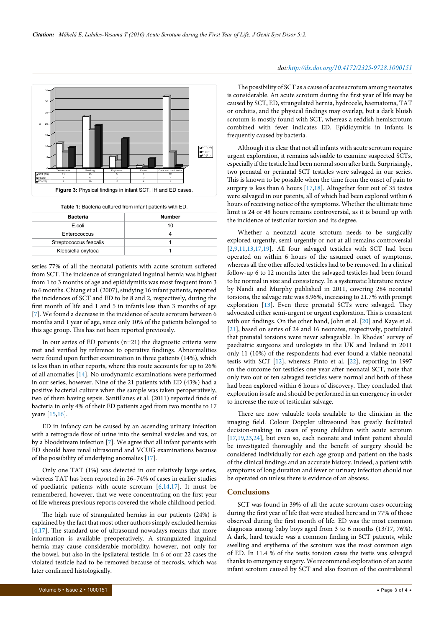<span id="page-2-0"></span>

<span id="page-2-1"></span>**Table 1:** Bacteria cultured from infant patients with ED.

| <b>Bacteria</b>        | <b>Number</b> |
|------------------------|---------------|
| E.coli                 | 10            |
| Enterococcus           |               |
| Streptococcus feacalis |               |
| Klebsiella oxytoca     |               |

series 77% of all the neonatal patients with acute scrotum suffered from SCT. The incidence of strangulated inguinal hernia was highest from 1 to 3 months of age and epididymitis was most frequent from 3 to 6 months. Chiang et al. (2007), studying 16 infant patients, reported the incidences of SCT and ED to be 8 and 2, respectively, during the first month of life and 1 and 5 in infants less than 3 months of age [[7\]](#page-3-5). We found a decrease in the incidence of acute scrotum between 6 months and 1 year of age, since only 10% of the patients belonged to this age group. This has not been reported previously.

In our series of ED patients (n=21) the diagnostic criteria were met and verified by reference to operative findings. Abnormalities were found upon further examination in three patients (14%), which is less than in other reports, where this route accounts for up to 26% of all anomalies [\[14\]](#page-3-10). No urodynamic examinations were performed in our series, however. Nine of the 21 patients with ED (43%) had a positive bacterial culture when the sample was taken peroperatively, two of them having sepsis. Santillanes et al. (2011) reported finds of bacteria in only 4% of their ED patients aged from two months to 17 years [\[15,](#page-3-11)[16\]](#page-3-12).

ED in infancy can be caused by an ascending urinary infection with a retrograde flow of urine into the seminal vesicles and vas, or by a bloodstream infection [[7](#page-3-5)]. We agree that all infant patients with ED should have renal ultrasound and VCUG examinations because of the possibility of underlying anomalies [[17](#page-3-13)].

Only one TAT (1%) was detected in our relatively large series, whereas TAT has been reported in 26–74% of cases in earlier studies of paediatric patients with acute scrotum [\[6,](#page-3-9)[14](#page-3-10)[,17](#page-3-13)]. It must be remembered, however, that we were concentrating on the first year of life whereas previous reports covered the whole childhood period.

The high rate of strangulated hernias in our patients (24%) is explained by the fact that most other authors simply excluded hernias [[4,](#page-3-4)[17\]](#page-3-13). The standard use of ultrasound nowadays means that more information is available preoperatively. A strangulated inguinal hernia may cause considerable morbidity, however, not only for the bowel, but also in the ipsilateral testicle. In 6 of our 22 cases the violated testicle had to be removed because of necrosis, which was later confirmed histologically.

#### *doi:http://dx.doi.org/10.4172/2325-9728.1000151*

The possibility of SCT as a cause of acute scrotum among neonates is considerable. An acute scrotum during the first year of life may be caused by SCT, ED, strangulated hernia, hydrocele, haematoma, TAT or orchitis, and the physical findings may overlap, but a dark bluish scrotum is mostly found with SCT, whereas a reddish hemiscrotum combined with fever indicates ED. Epididymitis in infants is frequently caused by bacteria.

Although it is clear that not all infants with acute scrotum require urgent exploration, it remains advisable to examine suspected SCTs, especially if the testicle had been normal soon after birth. Surprisingly, two prenatal or perinatal SCT testicles were salvaged in our series. This is known to be possible when the time from the onset of pain to surgery is less than 6 hours [[17](#page-3-13)[,18](#page-3-14)]. Altogether four out of 35 testes were salvaged in our patents, all of which had been explored within 6 hours of receiving notice of the symptoms. Whether the ultimate time limit is 24 or 48 hours remains controversial, as it is bound up with the incidence of testicular torsion and its degree.

Whether a neonatal acute scrotum needs to be surgically explored urgently, semi-urgently or not at all remains controversial [[2](#page-3-15)[,9,](#page-3-16)[11](#page-3-17)[,13,](#page-3-7)[17,](#page-3-13)[19](#page-3-18)]. All four salvaged testicles with SCT had been operated on within 6 hours of the assumed onset of symptoms, whereas all the other affected testicles had to be removed. In a clinical follow-up 6 to 12 months later the salvaged testicles had been found to be normal in size and consistency. In a systematic literature review by Nandi and Murphy published in 2011, covering 284 neonatal torsions, the salvage rate was 8.96%, increasing to 21.7% with prompt exploration [\[13\]](#page-3-7). Even three prenatal SCTs were salvaged. They advocated either semi-urgent or urgent exploration. This is consistent with our findings. On the other hand, John et al. [[20](#page-3-19)] and Kaye et al. [[21](#page-3-20)], based on series of 24 and 16 neonates, respectively, postulated that prenatal torsions were never salvageable. In Rhodes´ survey of paediatric surgeons and urologists in the UK and Ireland in 2011 only 11 (10%) of the respondents had ever found a viable neonatal testis with SCT [\[12](#page-3-21)], whereas Pinto et al. [[22\]](#page-3-22), reporting in 1997 on the outcome for testicles one year after neonatal SCT, note that only two out of ten salvaged testicles were normal and both of these had been explored within 6 hours of discovery. They concluded that exploration is safe and should be performed in an emergency in order to increase the rate of testicular salvage.

There are now valuable tools available to the clinician in the imaging field. Colour Doppler ultrasound has greatly facilitated decision-making in cases of young children with acute scrotum [[17](#page-3-13),[19](#page-3-18)[,23,](#page-3-23)[24\]](#page-3-24), but even so, each neonate and infant patient should be investigated thoroughly and the benefit of surgery should be considered individually for each age group and patient on the basis of the clinical findings and an accurate history. Indeed, a patient with symptoms of long duration and fever or urinary infection should not be operated on unless there is evidence of an abscess.

#### **Conclusions**

SCT was found in 39% of all the acute scrotum cases occurring during the first year of life that were studied here and in 77% of those observed during the first month of life. ED was the most common diagnosis among baby boys aged from 3 to 6 months (13/17, 76%). A dark, hard testicle was a common finding in SCT patients, while swelling and erythema of the scrotum was the most common sign of ED. In 11.4 % of the testis torsion cases the testis was salvaged thanks to emergency surgery. We recommend exploration of an acute infant scrotum caused by SCT and also fixation of the contralateral